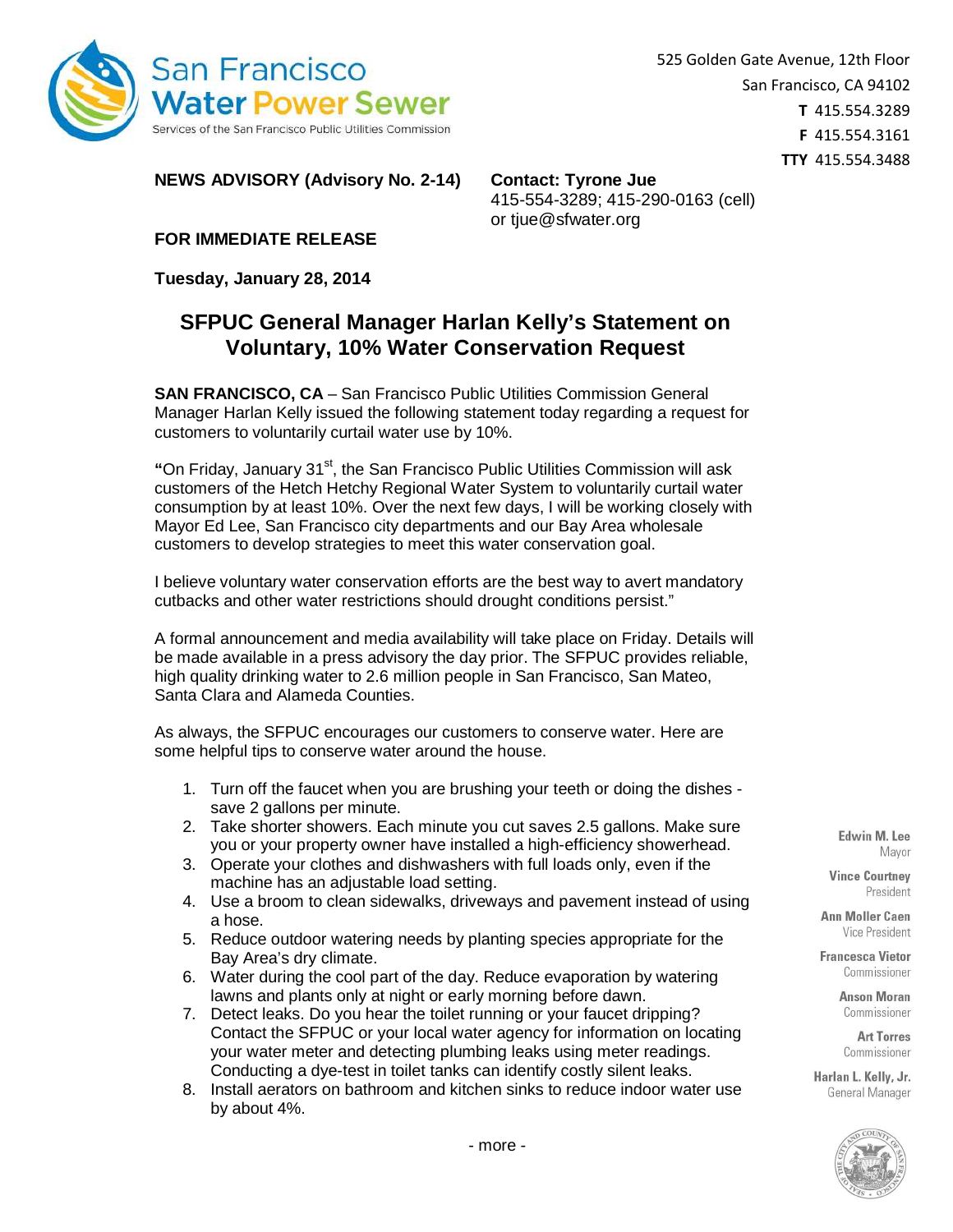

**NEWS ADVISORY (Advisory No. 2-14) Contact: Tyrone Jue**

415-554-3289; 415-290-0163 (cell) or tjue@sfwater.org

**FOR IMMEDIATE RELEASE** 

**Tuesday, January 28, 2014** 

## **SFPUC General Manager Harlan Kelly's Statement on Voluntary, 10% Water Conservation Request**

**SAN FRANCISCO, CA** – San Francisco Public Utilities Commission General Manager Harlan Kelly issued the following statement today regarding a request for customers to voluntarily curtail water use by 10%.

**"**On Friday, January 31st, the San Francisco Public Utilities Commission will ask customers of the Hetch Hetchy Regional Water System to voluntarily curtail water consumption by at least 10%. Over the next few days, I will be working closely with Mayor Ed Lee, San Francisco city departments and our Bay Area wholesale customers to develop strategies to meet this water conservation goal.

I believe voluntary water conservation efforts are the best way to avert mandatory cutbacks and other water restrictions should drought conditions persist."

A formal announcement and media availability will take place on Friday. Details will be made available in a press advisory the day prior. The SFPUC provides reliable, high quality drinking water to 2.6 million people in San Francisco, San Mateo, Santa Clara and Alameda Counties.

As always, the SFPUC encourages our customers to conserve water. Here are some helpful tips to conserve water around the house.

- 1. Turn off the faucet when you are brushing your teeth or doing the dishes save 2 gallons per minute.
- 2. Take shorter showers. Each minute you cut saves 2.5 gallons. Make sure you or your property owner have installed a high-efficiency showerhead.
- 3. Operate your clothes and dishwashers with full loads only, even if the machine has an adjustable load setting.
- 4. Use a broom to clean sidewalks, driveways and pavement instead of using a hose.
- 5. Reduce outdoor watering needs by planting species appropriate for the Bay Area's dry climate.
- 6. Water during the cool part of the day. Reduce evaporation by watering lawns and plants only at night or early morning before dawn.
- 7. Detect leaks. Do you hear the toilet running or your faucet dripping? Contact the SFPUC or your local water agency for information on locating your water meter and detecting plumbing leaks using meter readings. Conducting a dye-test in toilet tanks can identify costly silent leaks.
- 8. Install aerators on bathroom and kitchen sinks to reduce indoor water use by about 4%.

Edwin M. Lee Mavor

**Vince Courtney** President

**Ann Moller Caen** Vice President

**Francesca Vietor** Commissioner

> **Anson Moran** Commissioner

**Art Torres** Commissioner

Harlan L. Kelly, Jr. General Manager